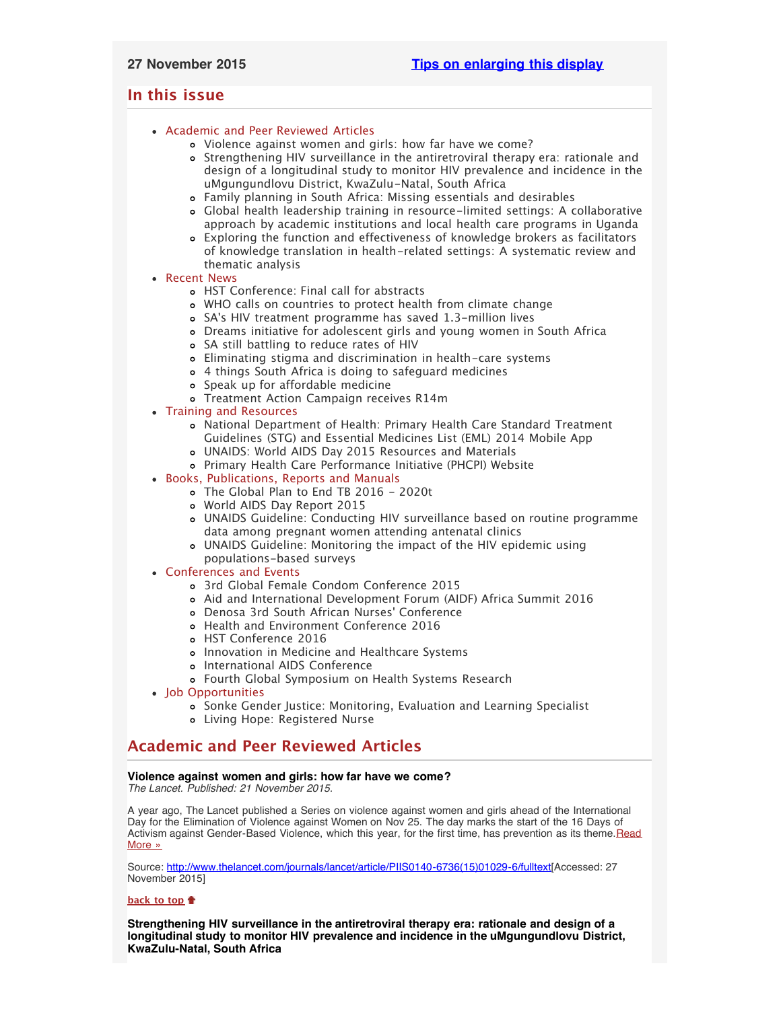# <span id="page-0-4"></span><span id="page-0-3"></span>**In this issue**

# [Academic and Peer Reviewed Articles](#page-0-0)

- [Violence against women and girls: how far have we come?](#page-0-1)
- [Strengthening HIV surveillance in the antiretroviral therapy era: rationale and](#page-0-2) [design of a longitudinal study to monitor HIV prevalence and incidence in the](#page-0-2) [uMgungundlovu District, KwaZulu-Natal, South Africa](#page-0-2)
- [Family planning in South Africa: Missing essentials and desirables](#page-1-0)
- [Global health leadership training in resource-limited settings: A collaborative](#page-1-0) [approach by academic institutions and local health care programs in Uganda](#page-1-0)
- [Exploring the function and effectiveness of knowledge brokers as facilitators](#page-1-0) [of knowledge translation in health-related settings: A systematic review and](#page-1-0) [thematic analysis](#page-1-0)

# [Recent News](#page-1-1)

- [HST Conference: Final call for abstracts](#page-1-2)
- [WHO calls on countries to protect health from climate change](#page-1-2)
- SA['s HIV treatment programme has saved 1.3-million lives](#page-2-0)
- [Dreams initiative for adolescent girls and young women in South Africa](#page-2-1)
- [SA still battling to reduce rates of HIV](#page-2-2)
- [Eliminating stigma and discrimination in health-care systems](#page-2-3)
- [4 things South Africa is doing to safeguard medicines](#page-2-2)
- o [Speak up for affordable medicine](#page-2-4)
- [Treatment Action Campaign receives R14m](#page-2-4)
- [Training and Resources](#page-5-0)
	- [National Department of Health: Primary Health Care Standard Treatment](#page-3-0) [Guidelines \(STG\) and Essential Medicines List \(EML\) 2014 Mobile App](#page-3-0)
	- [UNAIDS: World AIDS Day 2015 Resources and Materials](#page-3-0)
	- [Primary Health Care Performance Initiative \(PHCPI\) Website](#page-3-0)
- [Books, Publications, Reports and Manuals](#page-3-1)
	- [The Global Plan to End TB 2016 2020t](#page-3-2)
	- [World AIDS Day Report 2015](#page-3-3)
	- [UNAIDS Guideline: Conducting HIV surveillance based on routine programme](#page-3-3) [data among pregnant women attending antenatal clinics](#page-3-3)
	- [UNAIDS Guideline: Monitoring the impact of the HIV epidemic using](#page-3-3) [populations-based surveys](#page-3-3)
- [Conferences and Events](#page-4-0)
	- [3rd Global Female Condom Conference 2015](#page-4-1)
	- [Aid and International Development Forum \(AIDF\) Africa Summit 2016](#page-4-1)
	- [Denosa 3rd South African Nurses](#page-5-1)' Conference
	- [Health and Environment Conference 2016](#page-5-1)
	- [HST Conference 2016](#page-5-1)
	- [Innovation in Medicine and Healthcare Systems](#page-5-1)
	- o [International AIDS Conference](#page-5-1)
	- [Fourth Global Symposium on Health Systems Research](#page-0-3)
- [Job Opportunities](#page-0-3)
	- [Sonke Gender Justice: Monitoring, Evaluation and Learning Specialist](#page-5-2)
	- [Living Hope: Registered Nurse](#page-5-3)

# <span id="page-0-0"></span>**Academic and Peer Reviewed Articles**

# <span id="page-0-1"></span>**Violence against women and girls: how far have we come?**

*The Lancet. Published: 21 November 2015.*

A year ago, The Lancet published a Series on violence against women and girls ahead of the International Day for the Elimination of Violence against Women on Nov 25. The day marks the start of the 16 Days of Activism against Gender-Based Violence, which this year, for the first time, has prevention as its theme. Read [More »](http://www.thelancet.com/journals/lancet/article/PIIS0140-6736(15)01029-6/fulltext)

Source: [http://www.thelancet.com/journals/lancet/article/PIIS0140-6736\(15\)01029-6/fulltext\[](http://www.thelancet.com/journals/lancet/article/PIIS0140-6736(15)01029-6/fulltext)Accessed: 27 November 2015]

# **[back to top](#page-0-4)**

<span id="page-0-2"></span>**Strengthening HIV surveillance in the antiretroviral therapy era: rationale and design of a longitudinal study to monitor HIV prevalence and incidence in the uMgungundlovu District, KwaZulu-Natal, South Africa**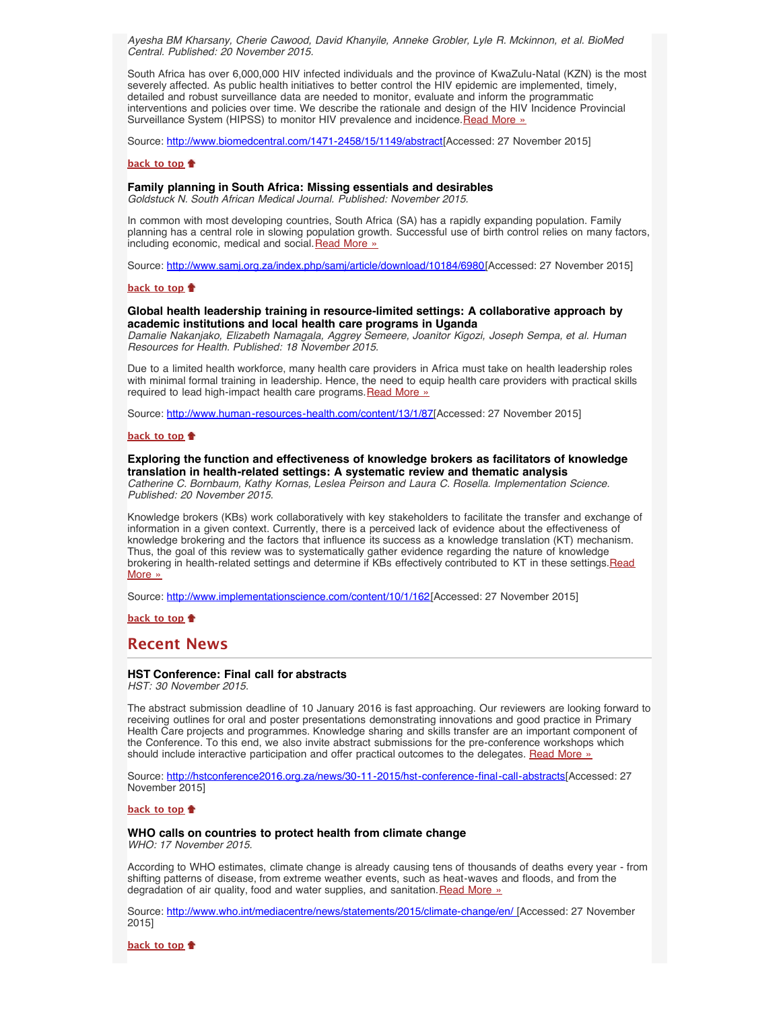*Ayesha BM Kharsany, Cherie Cawood, David Khanyile, Anneke Grobler, Lyle R. Mckinnon, et al. BioMed Central. Published: 20 November 2015.*

South Africa has over 6,000,000 HIV infected individuals and the province of KwaZulu-Natal (KZN) is the most severely affected. As public health initiatives to better control the HIV epidemic are implemented, timely, detailed and robust surveillance data are needed to monitor, evaluate and inform the programmatic interventions and policies over time. We describe the rationale and design of the HIV Incidence Provincial Surveillance System (HIPSS) to monitor HIV prevalence and incidence. [Read More »](http://www.biomedcentral.com/1471-2458/15/1149/abstract)

Source: [http://www.biomedcentral.com/1471-2458/15/1149/abstract\[](http://www.biomedcentral.com/1471-2458/15/1149/abstract)Accessed: 27 November 2015]

#### **[back to top](#page-0-4)**

### **Family planning in South Africa: Missing essentials and desirables**

*Goldstuck N. South African Medical Journal. Published: November 2015.*

In common with most developing countries, South Africa (SA) has a rapidly expanding population. Family planning has a central role in slowing population growth. Successful use of birth control relies on many factors, including economic, medical and social. [Read More »](http://www.samj.org.za/index.php/samj/article/download/10184/6980)

Source: [http://www.samj.org.za/index.php/samj/article/download/10184/6980\[](http://www.samj.org.za/index.php/samj/article/download/10184/6980)Accessed: 27 November 2015]

#### **[back to top](#page-0-4)**

### **Global health leadership training in resource-limited settings: A collaborative approach by academic institutions and local health care programs in Uganda**

*Damalie Nakanjako, Elizabeth Namagala, Aggrey Semeere, Joanitor Kigozi, Joseph Sempa, et al. Human Resources for Health. Published: 18 November 2015.*

Due to a limited health workforce, many health care providers in Africa must take on health leadership roles with minimal formal training in leadership. Hence, the need to equip health care providers with practical skills required to lead high-impact health care programs. [Read More »](http://www.human-resources-health.com/content/13/1/87)

Source: <http://www.human-resources-health.com/content/13/1/87>[Accessed: 27 November 2015]

#### **[back to top](#page-0-4)**

# <span id="page-1-0"></span>**Exploring the function and effectiveness of knowledge brokers as facilitators of knowledge translation in health-related settings: A systematic review and thematic analysis**

*Catherine C. Bornbaum, Kathy Kornas, Leslea Peirson and Laura C. Rosella. Implementation Science. Published: 20 November 2015.*

Knowledge brokers (KBs) work collaboratively with key stakeholders to facilitate the transfer and exchange of information in a given context. Currently, there is a perceived lack of evidence about the effectiveness of knowledge brokering and the factors that influence its success as a knowledge translation (KT) mechanism. Thus, the goal of this review was to systematically gather evidence regarding the nature of knowledge brokering in health-related settings and determine if KBs effectively contributed to KT in these settings.[Read](http://www.implementationscience.com/content/10/1/162) [More »](http://www.implementationscience.com/content/10/1/162)

Source: [http://www.implementationscience.com/content/10/1/162\[](http://www.implementationscience.com/content/10/1/162)Accessed: 27 November 2015]

**[back to top](#page-0-4)**

# <span id="page-1-1"></span>**Recent News**

# **HST Conference: Final call for abstracts**

*HST: 30 November 2015.*

The abstract submission deadline of 10 January 2016 is fast approaching. Our reviewers are looking forward to receiving outlines for oral and poster presentations demonstrating innovations and good practice in Primary Health Care projects and programmes. Knowledge sharing and skills transfer are an important component of the Conference. To this end, we also invite abstract submissions for the pre-conference workshops which should include interactive participation and offer practical outcomes to the delegates. [Read More »](http://hstconference2016.org.za/news/30-11-2015/hst-conference-final-call-abstracts)

Source: [http://hstconference2016.org.za/news/30-11-2015/hst-conference-final-call-abstracts\[](http://hstconference2016.org.za/news/30-11-2015/hst-conference-final-call-abstracts)Accessed: 27 November 2015]

#### **[back to top](#page-0-4)**

#### <span id="page-1-2"></span>**WHO calls on countries to protect health from climate change** *WHO: 17 November 2015.*

According to WHO estimates, climate change is already causing tens of thousands of deaths every year - from shifting patterns of disease, from extreme weather events, such as heat-waves and floods, and from the degradation of air quality, food and water supplies, and sanitation. [Read More »](http://www.hst.org.za/news/who-calls-countries-protect-health-climate-change)

Source: [http://www.who.int/mediacentre/news/statements/2015/climate-change/en/ \[](http://www.who.int/mediacentre/news/statements/2015/climate-change/en/)Accessed: 27 November 2015]

**[back to top](#page-0-4)**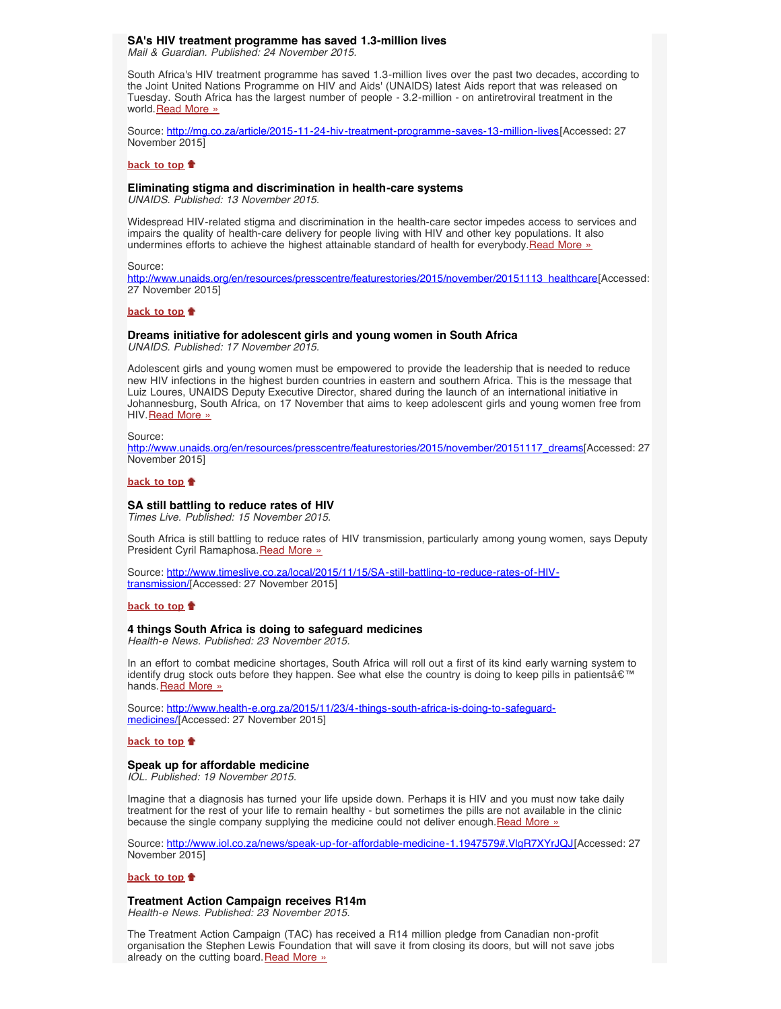### <span id="page-2-0"></span>**SA's HIV treatment programme has saved 1.3-million lives**

*Mail & Guardian. Published: 24 November 2015.*

South Africa's HIV treatment programme has saved 1.3-million lives over the past two decades, according to the Joint United Nations Programme on HIV and Aids' (UNAIDS) latest Aids report that was released on Tuesday. South Africa has the largest number of people - 3.2-million - on antiretroviral treatment in the world. [Read More »](http://www.hst.org.za/news/sas-hiv-treatment-programme-has-saved-13-million-lives)

Source: <http://mg.co.za/article/2015-11-24-hiv-treatment-programme-saves-13-million-lives>[Accessed: 27 November 2015]

#### **[back to top](#page-0-4)**

### <span id="page-2-3"></span>**Eliminating stigma and discrimination in health-care systems**

*UNAIDS. Published: 13 November 2015.*

Widespread HIV-related stigma and discrimination in the health-care sector impedes access to services and impairs the quality of health-care delivery for people living with HIV and other key populations. It also undermines efforts to achieve the highest attainable standard of health for everybody. [Read More »](http://www.unaids.org/en/resources/presscentre/featurestories/2015/november/20151113_healthcare)

Source:

[http://www.unaids.org/en/resources/presscentre/featurestories/2015/november/20151113\\_healthcare](http://www.unaids.org/en/resources/presscentre/featurestories/2015/november/20151113_healthcare)[Accessed: 27 November 2015]

#### **[back to top](#page-0-4)**

# <span id="page-2-1"></span>**Dreams initiative for adolescent girls and young women in South Africa**

*UNAIDS. Published: 17 November 2015.*

Adolescent girls and young women must be empowered to provide the leadership that is needed to reduce new HIV infections in the highest burden countries in eastern and southern Africa. This is the message that Luiz Loures, UNAIDS Deputy Executive Director, shared during the launch of an international initiative in Johannesburg, South Africa, on 17 November that aims to keep adolescent girls and young women free from HIV. [Read More »](http://www.hst.org.za/news/dreams-initiative-adolescent-girls-and-young-women-south-africa)

Source:

[http://www.unaids.org/en/resources/presscentre/featurestories/2015/november/20151117\\_dreams\[](http://www.unaids.org/en/resources/presscentre/featurestories/2015/november/20151117_dreams)Accessed: 27 November 2015]

#### **[back to top](#page-0-4)**

### **SA still battling to reduce rates of HIV**

*Times Live. Published: 15 November 2015.*

South Africa is still battling to reduce rates of HIV transmission, particularly among young women, says Deputy President Cyril Ramaphosa. [Read More »](http://www.hst.org.za/news/sa-still-battling-reduce-rates-hiv)

Source: [http://www.timeslive.co.za/local/2015/11/15/SA-still-battling-to-reduce-rates-of-HIV](http://www.timeslive.co.za/local/2015/11/15/SA-still-battling-to-reduce-rates-of-HIV-transmission)[transmission/\[](http://www.timeslive.co.za/local/2015/11/15/SA-still-battling-to-reduce-rates-of-HIV-transmission)Accessed: 27 November 2015]

## **[back to top](#page-0-4)**

# <span id="page-2-2"></span>**4 things South Africa is doing to safeguard medicines**

*Health-e News. Published: 23 November 2015.*

In an effort to combat medicine shortages, South Africa will roll out a first of its kind early warning system to identify drug stock outs before they happen. See what else the country is doing to keep pills in patients $\hat{\mathbf{a}} \in \mathbb{M}$ hands. [Read More »](http://www.hst.org.za/news/4-things-south-africa-doing-safeguard-medicines)

Source: [http://www.health-e.org.za/2015/11/23/4-things-south-africa-is-doing-to-safeguard](http://www.health-e.org.za/2015/11/23/4-things-south-africa-is-doing-to-safeguard-medicines/)[medicines/\[](http://www.health-e.org.za/2015/11/23/4-things-south-africa-is-doing-to-safeguard-medicines/)Accessed: 27 November 2015]

#### **[back to top](#page-0-4)**

#### **Speak up for affordable medicine**

*IOL. Published: 19 November 2015.*

Imagine that a diagnosis has turned your life upside down. Perhaps it is HIV and you must now take daily treatment for the rest of your life to remain healthy - but sometimes the pills are not available in the clinic because the single company supplying the medicine could not deliver enough. [Read More »](http://www.hst.org.za/news/speak-affordable-medicine)

Source: [http://www.iol.co.za/news/speak-up-for-affordable-medicine-1.1947579#.VlgR7XYrJQJ\[](http://www.iol.co.za/news/speak-up-for-affordable-medicine-1.1947579#.VlgR7XYrJQJ)Accessed: 27 November 2015]

#### **[back to top](#page-0-4)**

#### <span id="page-2-4"></span>**Treatment Action Campaign receives R14m**

*Health-e News. Published: 23 November 2015.*

The Treatment Action Campaign (TAC) has received a R14 million pledge from Canadian non-profit organisation the Stephen Lewis Foundation that will save it from closing its doors, but will not save jobs already on the cutting board. [Read More »](http://www.hst.org.za/news/treatment-action-campaign-receives-r14m)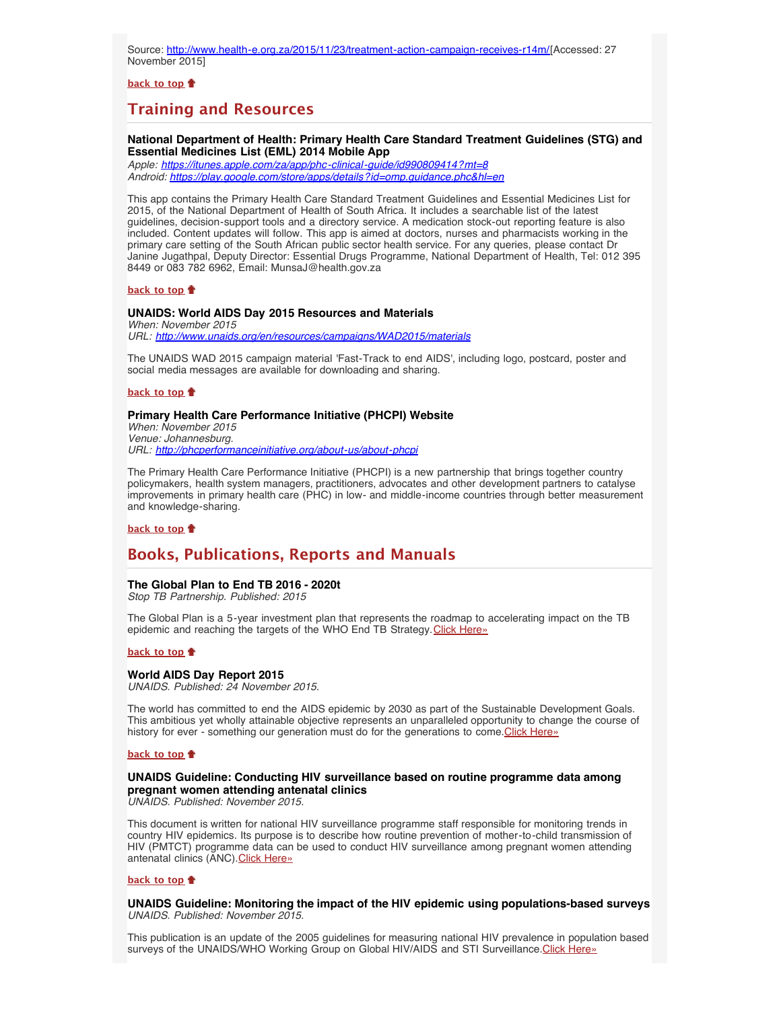Source: [http://www.health-e.org.za/2015/11/23/treatment-action-campaign-receives-r14m/\[](http://www.health-e.org.za/2015/11/23/treatment-action-campaign-receives-r14m/)Accessed: 27 November 2015]

**[back to top](#page-0-4)**

# **Training and Resources**

# **National Department of Health: Primary Health Care Standard Treatment Guidelines (STG) and Essential Medicines List (EML) 2014 Mobile App**

*Apple:<https://itunes.apple.com/za/app/phc-clinical-guide/id990809414?mt=8> Android:<https://play.google.com/store/apps/details?id=omp.guidance.phc&hl=en>*

This app contains the Primary Health Care Standard Treatment Guidelines and Essential Medicines List for 2015, of the National Department of Health of South Africa. It includes a searchable list of the latest guidelines, decision-support tools and a directory service. A medication stock-out reporting feature is also included. Content updates will follow. This app is aimed at doctors, nurses and pharmacists working in the primary care setting of the South African public sector health service. For any queries, please contact Dr Janine Jugathpal, Deputy Director: Essential Drugs Programme, National Department of Health, Tel: 012 395 8449 or 083 782 6962, Email: MunsaJ@health.gov.za

### **[back to top](#page-0-4)**

#### **UNAIDS: World AIDS Day 2015 Resources and Materials** *When: November 2015*

*URL: <http://www.unaids.org/en/resources/campaigns/WAD2015/materials>*

The UNAIDS WAD 2015 campaign material 'Fast-Track to end AIDS', including logo, postcard, poster and social media messages are available for downloading and sharing.

#### **[back to top](#page-0-4)**

# <span id="page-3-0"></span>**Primary Health Care Performance Initiative (PHCPI) Website**

*When: November 2015 Venue: Johannesburg. URL: <http://phcperformanceinitiative.org/about-us/about-phcpi>*

The Primary Health Care Performance Initiative (PHCPI) is a new partnership that brings together country policymakers, health system managers, practitioners, advocates and other development partners to catalyse improvements in primary health care (PHC) in low- and middle-income countries through better measurement and knowledge-sharing.

#### **[back to top](#page-0-4)**

# <span id="page-3-1"></span>**Books, Publications, Reports and Manuals**

# <span id="page-3-2"></span>**The Global Plan to End TB 2016 - 2020t**

*Stop TB Partnership. Published: 2015*

The Global Plan is a 5-year investment plan that represents the roadmap to accelerating impact on the TB epidemic and reaching the targets of the WHO End TB Strategy. [Click Here»](http://www.hst.org.za/publications/global-plan-end-tb-2016-2020)

### **[back to top](#page-0-4)**

# **World AIDS Day Report 2015**

*UNAIDS. Published: 24 November 2015.*

The world has committed to end the AIDS epidemic by 2030 as part of the Sustainable Development Goals. This ambitious yet wholly attainable objective represents an unparalleled opportunity to change the course of history for ever - something our generation must do for the generations to come. [Click Here»](http://www.hst.org.za/publications/world-aids-day-report-2015)

#### **[back to top](#page-0-4)**

# **UNAIDS Guideline: Conducting HIV surveillance based on routine programme data among pregnant women attending antenatal clinics**

*UNAIDS. Published: November 2015.*

This document is written for national HIV surveillance programme staff responsible for monitoring trends in country HIV epidemics. Its purpose is to describe how routine prevention of mother-to-child transmission of HIV (PMTCT) programme data can be used to conduct HIV surveillance among pregnant women attending antenatal clinics (ANC). [Click Here»](http://www.hst.org.za/publications/unaids-guideline-conducting-hiv-surveillance-based-routine-programme-data-among-pregnan)

#### **[back to top](#page-0-4)**

<span id="page-3-3"></span>**UNAIDS Guideline: Monitoring the impact of the HIV epidemic using populations-based surveys** *UNAIDS. Published: November 2015.*

This publication is an update of the 2005 guidelines for measuring national HIV prevalence in population based surveys of the UNAIDS/WHO Working Group on Global HIV/AIDS and STI Surveillance.[Click Here»](http://www.hst.org.za/publications/unaids-guideline-monitoring-impact-hiv-epidemic-using-populations-based-surveys)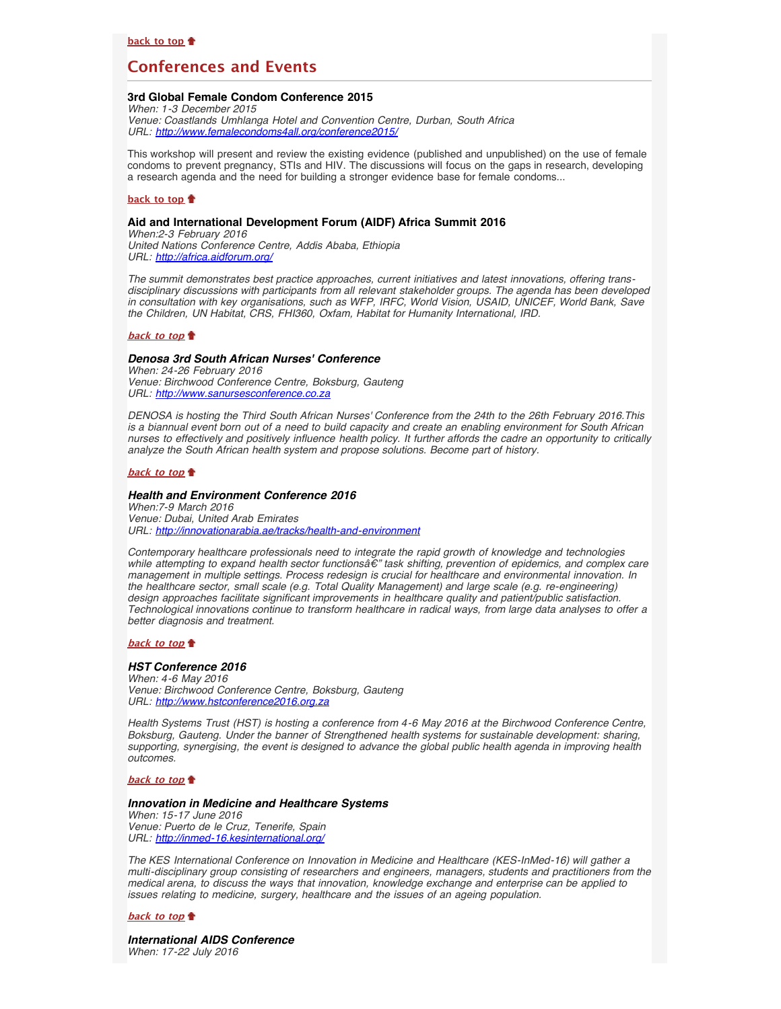# <span id="page-4-0"></span>**Conferences and Events**

# <span id="page-4-1"></span>**3rd Global Female Condom Conference 2015**

*When: 1-3 December 2015 Venue: Coastlands Umhlanga Hotel and Convention Centre, Durban, South Africa URL: [http://www.femalecondoms4all.org/conference2015/](http://www.femalecondoms4all.org/conference2015/conference-programme)*

This workshop will present and review the existing evidence (published and unpublished) on the use of female condoms to prevent pregnancy, STIs and HIV. The discussions will focus on the gaps in research, developing a research agenda and the need for building a stronger evidence base for female condoms...

#### **[back to top](#page-0-4)**

#### **Aid and International Development Forum (AIDF) Africa Summit 2016**

*When:2-3 February 2016 United Nations Conference Centre, Addis Ababa, Ethiopia URL: <http://africa.aidforum.org/>*

*The summit demonstrates best practice approaches, current initiatives and latest innovations, offering transdisciplinary discussions with participants from all relevant stakeholder groups. The agenda has been developed in consultation with key organisations, such as WFP, IRFC, World Vision, USAID, UNICEF, World Bank, Save the Children, UN Habitat, CRS, FHI360, Oxfam, Habitat for Humanity International, IRD.*

### **[back to top](#page-0-4)**

#### *Denosa 3rd South African Nurses' Conference*

*When: 24-26 February 2016 Venue: Birchwood Conference Centre, Boksburg, Gauteng URL: [http://www.sanursesconference.co.za](http://www.sanursesconference.co.za/)*

*DENOSA is hosting the Third South African Nurses' Conference from the 24th to the 26th February 2016.This is a biannual event born out of a need to build capacity and create an enabling environment for South African nurses to effectively and positively influence health policy. It further affords the cadre an opportunity to critically analyze the South African health system and propose solutions. Become part of history.*

#### **[back to top](#page-0-4) f**

#### *Health and Environment Conference 2016*

*When:7-9 March 2016 Venue: Dubai, United Arab Emirates URL: <http://innovationarabia.ae/tracks/health-and-environment>*

*Contemporary healthcare professionals need to integrate the rapid growth of knowledge and technologies while attempting to expand health sector functions— task shifting, prevention of epidemics, and complex care management in multiple settings. Process redesign is crucial for healthcare and environmental innovation. In the healthcare sector, small scale (e.g. Total Quality Management) and large scale (e.g. re-engineering) design approaches facilitate significant improvements in healthcare quality and patient/public satisfaction. Technological innovations continue to transform healthcare in radical ways, from large data analyses to offer a better diagnosis and treatment.*

# **[back to top](#page-0-4)**

#### *HST Conference 2016*

*When: 4-6 May 2016 Venue: Birchwood Conference Centre, Boksburg, Gauteng URL: [http://www.hstconference2016.org.za](http://www.hstconference2016.org.za/)*

*Health Systems Trust (HST) is hosting a conference from 4-6 May 2016 at the Birchwood Conference Centre, Boksburg, Gauteng. Under the banner of Strengthened health systems for sustainable development: sharing, supporting, synergising, the event is designed to advance the global public health agenda in improving health outcomes.*

## **[back to top](#page-0-4)**

#### *Innovation in Medicine and Healthcare Systems*

*When: 15-17 June 2016 Venue: Puerto de le Cruz, Tenerife, Spain URL: <http://inmed-16.kesinternational.org/>*

*The KES International Conference on Innovation in Medicine and Healthcare (KES-InMed-16) will gather a multi-disciplinary group consisting of researchers and engineers, managers, students and practitioners from the medical arena, to discuss the ways that innovation, knowledge exchange and enterprise can be applied to issues relating to medicine, surgery, healthcare and the issues of an ageing population.*

#### **[back to top](#page-0-4)**

*International AIDS Conference When: 17-22 July 2016*